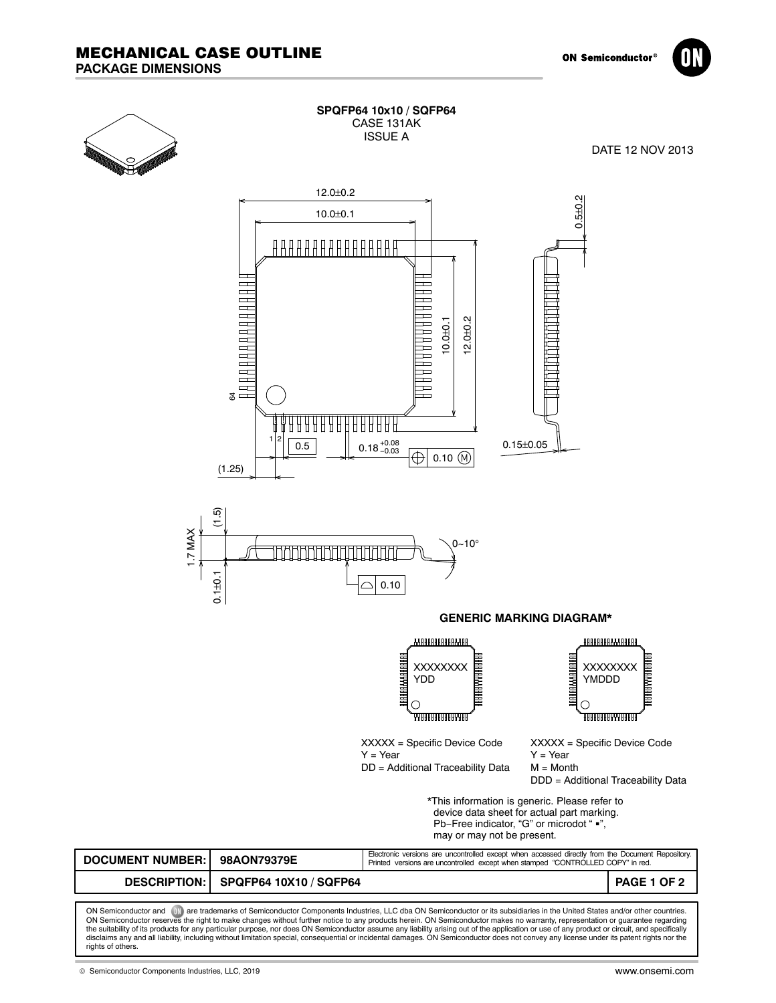



| SPQFP64 10x10 / SQFP64 |
|------------------------|
| CASE 131AK             |
| ISSUF A                |
|                        |

DATE 12 NOV 2013





**GENERIC MARKING DIAGRAM\***

AAAAAAAAAAAAAA IAAAAAAAAAAAAAAAA XXXXXXXX YDD  $\bigcirc$ **ARAAAAAAAAAAAAA** 

888888888888888 A A A A A A A A A A A A A A A A A A XXXXXXXX YMDDD O **ARRAARAARAARARA** 

XXXXX = Specific Device Code Y = Year DD = Additional Traceability Data XXXXX = Specific Device Code Y = Year M = Month DDD = Additional Traceability Data

\*This information is generic. Please refer to device data sheet for actual part marking. device data sneet for actual part markli<br>Pb−Free indicator, "G" or microdot " ■", may or may not be present.

| <b>DOCUMENT NUMBER: I</b> | 98AON79379E                         | Electronic versions are uncontrolled except when accessed directly from the Document Repository.<br>Printed versions are uncontrolled except when stamped "CONTROLLED COPY" in red. |             |
|---------------------------|-------------------------------------|-------------------------------------------------------------------------------------------------------------------------------------------------------------------------------------|-------------|
|                           | DESCRIPTION: SPQFP64 10X10 / SQFP64 |                                                                                                                                                                                     | PAGE 1 OF 2 |
|                           |                                     |                                                                                                                                                                                     |             |

ON Semiconductor and **and are trademarks of Semiconductor Components Industries, LLC dba ON Semiconductor or its subsidiaries in the United States and/or other countries.** ON Semiconductor reserves the right to make changes without further notice to any products herein. ON Semiconductor makes no warranty, representation or guarantee regarding<br>the suitability of its products for any particula